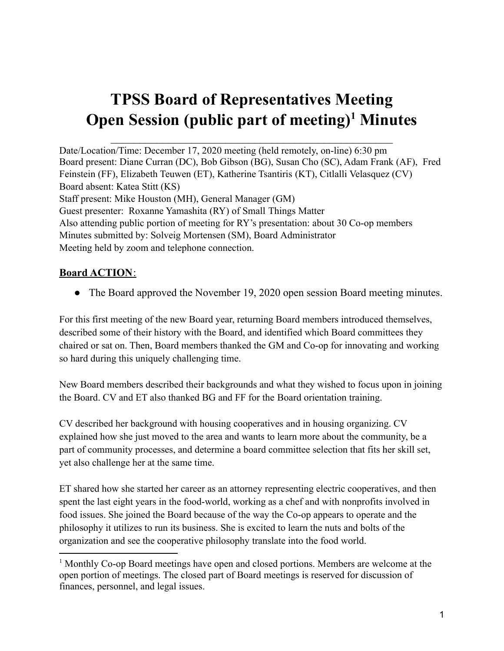# **TPSS Board of Representatives Meeting Open Session (public part of meeting) <sup>1</sup> Minutes**

 $\overline{\phantom{a}}$  ,  $\overline{\phantom{a}}$  ,  $\overline{\phantom{a}}$  ,  $\overline{\phantom{a}}$  ,  $\overline{\phantom{a}}$  ,  $\overline{\phantom{a}}$  ,  $\overline{\phantom{a}}$  ,  $\overline{\phantom{a}}$  ,  $\overline{\phantom{a}}$  ,  $\overline{\phantom{a}}$  ,  $\overline{\phantom{a}}$  ,  $\overline{\phantom{a}}$  ,  $\overline{\phantom{a}}$  ,  $\overline{\phantom{a}}$  ,  $\overline{\phantom{a}}$  ,  $\overline{\phantom{a}}$ 

Date/Location/Time: December 17, 2020 meeting (held remotely, on-line) 6:30 pm Board present: Diane Curran (DC), Bob Gibson (BG), Susan Cho (SC), Adam Frank (AF), Fred Feinstein (FF), Elizabeth Teuwen (ET), Katherine Tsantiris (KT), Citlalli Velasquez (CV) Board absent: Katea Stitt (KS) Staff present: Mike Houston (MH), General Manager (GM) Guest presenter: Roxanne Yamashita (RY) of Small Things Matter Also attending public portion of meeting for RY's presentation: about 30 Co-op members Minutes submitted by: Solveig Mortensen (SM), Board Administrator Meeting held by zoom and telephone connection.

## **Board ACTION**:

• The Board approved the November 19, 2020 open session Board meeting minutes.

For this first meeting of the new Board year, returning Board members introduced themselves, described some of their history with the Board, and identified which Board committees they chaired or sat on. Then, Board members thanked the GM and Co-op for innovating and working so hard during this uniquely challenging time.

New Board members described their backgrounds and what they wished to focus upon in joining the Board. CV and ET also thanked BG and FF for the Board orientation training.

CV described her background with housing cooperatives and in housing organizing. CV explained how she just moved to the area and wants to learn more about the community, be a part of community processes, and determine a board committee selection that fits her skill set, yet also challenge her at the same time.

ET shared how she started her career as an attorney representing electric cooperatives, and then spent the last eight years in the food-world, working as a chef and with nonprofits involved in food issues. She joined the Board because of the way the Co-op appears to operate and the philosophy it utilizes to run its business. She is excited to learn the nuts and bolts of the organization and see the cooperative philosophy translate into the food world.

<sup>1</sup> Monthly Co-op Board meetings have open and closed portions. Members are welcome at the open portion of meetings. The closed part of Board meetings is reserved for discussion of finances, personnel, and legal issues.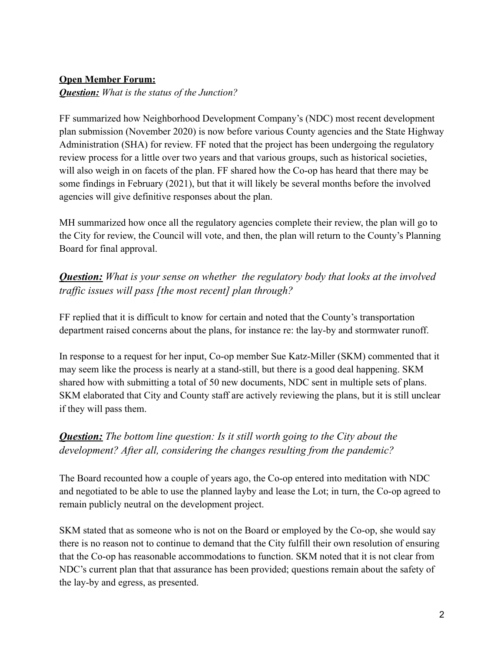## **Open Member Forum:**

*Question: What is the status of the Junction?*

FF summarized how Neighborhood Development Company's (NDC) most recent development plan submission (November 2020) is now before various County agencies and the State Highway Administration (SHA) for review. FF noted that the project has been undergoing the regulatory review process for a little over two years and that various groups, such as historical societies, will also weigh in on facets of the plan. FF shared how the Co-op has heard that there may be some findings in February (2021), but that it will likely be several months before the involved agencies will give definitive responses about the plan.

MH summarized how once all the regulatory agencies complete their review, the plan will go to the City for review, the Council will vote, and then, the plan will return to the County's Planning Board for final approval.

*Question: What is your sense on whether the regulatory body that looks at the involved traf ic issues will pass [the most recent] plan through?*

FF replied that it is difficult to know for certain and noted that the County's transportation department raised concerns about the plans, for instance re: the lay-by and stormwater runoff.

In response to a request for her input, Co-op member Sue Katz-Miller (SKM) commented that it may seem like the process is nearly at a stand-still, but there is a good deal happening. SKM shared how with submitting a total of 50 new documents, NDC sent in multiple sets of plans. SKM elaborated that City and County staff are actively reviewing the plans, but it is still unclear if they will pass them.

# *Question: The bottom line question: Is it still worth going to the City about the development? After all, considering the changes resulting from the pandemic?*

The Board recounted how a couple of years ago, the Co-op entered into meditation with NDC and negotiated to be able to use the planned layby and lease the Lot; in turn, the Co-op agreed to remain publicly neutral on the development project.

SKM stated that as someone who is not on the Board or employed by the Co-op, she would say there is no reason not to continue to demand that the City fulfill their own resolution of ensuring that the Co-op has reasonable accommodations to function. SKM noted that it is not clear from NDC's current plan that that assurance has been provided; questions remain about the safety of the lay-by and egress, as presented.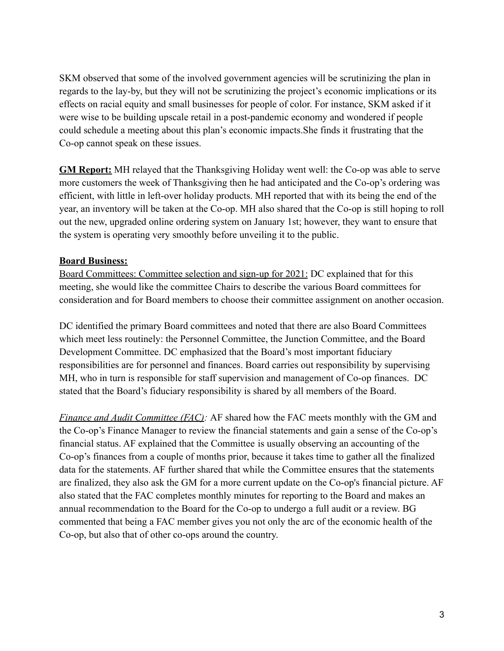SKM observed that some of the involved government agencies will be scrutinizing the plan in regards to the lay-by, but they will not be scrutinizing the project's economic implications or its effects on racial equity and small businesses for people of color. For instance, SKM asked if it were wise to be building upscale retail in a post-pandemic economy and wondered if people could schedule a meeting about this plan's economic impacts.She finds it frustrating that the Co-op cannot speak on these issues.

**GM Report:** MH relayed that the Thanksgiving Holiday went well: the Co-op was able to serve more customers the week of Thanksgiving then he had anticipated and the Co-op's ordering was efficient, with little in left-over holiday products. MH reported that with its being the end of the year, an inventory will be taken at the Co-op. MH also shared that the Co-op is still hoping to roll out the new, upgraded online ordering system on January 1st; however, they want to ensure that the system is operating very smoothly before unveiling it to the public.

#### **Board Business:**

Board Committees: Committee selection and sign-up for 2021: DC explained that for this meeting, she would like the committee Chairs to describe the various Board committees for consideration and for Board members to choose their committee assignment on another occasion.

DC identified the primary Board committees and noted that there are also Board Committees which meet less routinely: the Personnel Committee, the Junction Committee, and the Board Development Committee. DC emphasized that the Board's most important fiduciary responsibilities are for personnel and finances. Board carries out responsibility by supervising MH, who in turn is responsible for staff supervision and management of Co-op finances. DC stated that the Board's fiduciary responsibility is shared by all members of the Board.

*Finance and Audit Committee (FAC):* AF shared how the FAC meets monthly with the GM and the Co-op's Finance Manager to review the financial statements and gain a sense of the Co-op's financial status. AF explained that the Committee is usually observing an accounting of the Co-op's finances from a couple of months prior, because it takes time to gather all the finalized data for the statements. AF further shared that while the Committee ensures that the statements are finalized, they also ask the GM for a more current update on the Co-op's financial picture. AF also stated that the FAC completes monthly minutes for reporting to the Board and makes an annual recommendation to the Board for the Co-op to undergo a full audit or a review. BG commented that being a FAC member gives you not only the arc of the economic health of the Co-op, but also that of other co-ops around the country.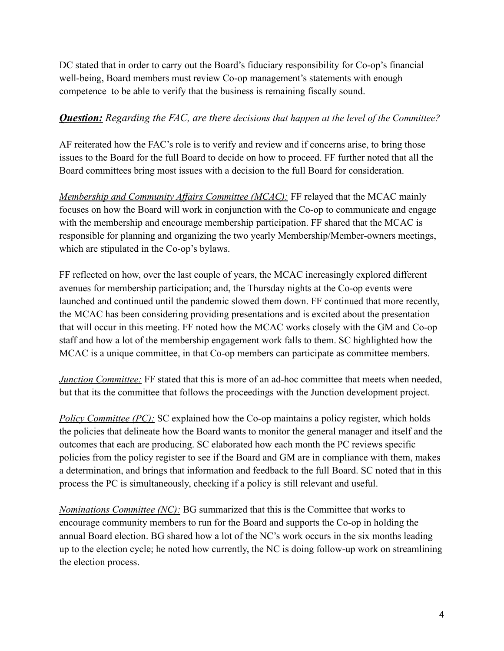DC stated that in order to carry out the Board's fiduciary responsibility for Co-op's financial well-being, Board members must review Co-op management's statements with enough competence to be able to verify that the business is remaining fiscally sound.

## *Question: Regarding the FAC, are there decisions that happen at the level of the Committee?*

AF reiterated how the FAC's role is to verify and review and if concerns arise, to bring those issues to the Board for the full Board to decide on how to proceed. FF further noted that all the Board committees bring most issues with a decision to the full Board for consideration.

*Membership and Community Affairs Committee (MCAC):* FF relayed that the MCAC mainly focuses on how the Board will work in conjunction with the Co-op to communicate and engage with the membership and encourage membership participation. FF shared that the MCAC is responsible for planning and organizing the two yearly Membership/Member-owners meetings, which are stipulated in the Co-op's bylaws.

FF reflected on how, over the last couple of years, the MCAC increasingly explored different avenues for membership participation; and, the Thursday nights at the Co-op events were launched and continued until the pandemic slowed them down. FF continued that more recently, the MCAC has been considering providing presentations and is excited about the presentation that will occur in this meeting. FF noted how the MCAC works closely with the GM and Co-op staff and how a lot of the membership engagement work falls to them. SC highlighted how the MCAC is a unique committee, in that Co-op members can participate as committee members.

*Junction Committee:* FF stated that this is more of an ad-hoc committee that meets when needed, but that its the committee that follows the proceedings with the Junction development project.

*Policy Committee (PC):* SC explained how the Co-op maintains a policy register, which holds the policies that delineate how the Board wants to monitor the general manager and itself and the outcomes that each are producing. SC elaborated how each month the PC reviews specific policies from the policy register to see if the Board and GM are in compliance with them, makes a determination, and brings that information and feedback to the full Board. SC noted that in this process the PC is simultaneously, checking if a policy is still relevant and useful.

*Nominations Committee (NC):* BG summarized that this is the Committee that works to encourage community members to run for the Board and supports the Co-op in holding the annual Board election. BG shared how a lot of the NC's work occurs in the six months leading up to the election cycle; he noted how currently, the NC is doing follow-up work on streamlining the election process.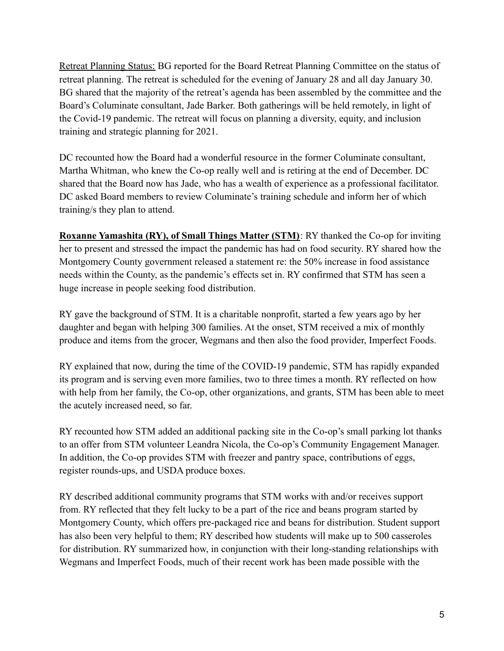Retreat Planning Status: BG reported for the Board Retreat Planning Committee on the status of retreat planning. The retreat is scheduled for the evening of January 28 and all day January 30. BG shared that the majority of the retreat's agenda has been assembled by the committee and the Board's Columinate consultant, Jade Barker. Both gatherings will be held remotely, in light of the Covid-19 pandemic. The retreat will focus on planning a diversity, equity, and inclusion training and strategic planning for 2021.

DC recounted how the Board had a wonderful resource in the former Columinate consultant, Martha Whitman, who knew the Co-op really well and is retiring at the end of December. DC shared that the Board now has Jade, who has a wealth of experience as a professional facilitator. DC asked Board members to review Columinate's training schedule and inform her of which training/s they plan to attend.

**Roxanne Yamashita (RY), of Small Things Matter (STM)**: RY thanked the Co-op for inviting her to present and stressed the impact the pandemic has had on food security. RY shared how the Montgomery County government released a statement re: the 50% increase in food assistance needs within the County, as the pandemic's effects set in. RY confirmed that STM has seen a huge increase in people seeking food distribution.

RY gave the background of STM. It is a charitable nonprofit, started a few years ago by her daughter and began with helping 300 families. At the onset, STM received a mix of monthly produce and items from the grocer, Wegmans and then also the food provider, Imperfect Foods.

RY explained that now, during the time of the COVID-19 pandemic, STM has rapidly expanded its program and is serving even more families, two to three times a month. RY reflected on how with help from her family, the Co-op, other organizations, and grants, STM has been able to meet the acutely increased need, so far.

RY recounted how STM added an additional packing site in the Co-op's small parking lot thanks to an offer from STM volunteer Leandra Nicola, the Co-op's Community Engagement Manager. In addition, the Co-op provides STM with freezer and pantry space, contributions of eggs, register rounds-ups, and USDA produce boxes.

RY described additional community programs that STM works with and/or receives support from. RY reflected that they felt lucky to be a part of the rice and beans program started by Montgomery County, which offers pre-packaged rice and beans for distribution. Student support has also been very helpful to them; RY described how students will make up to 500 casseroles for distribution. RY summarized how, in conjunction with their long-standing relationships with Wegmans and Imperfect Foods, much of their recent work has been made possible with the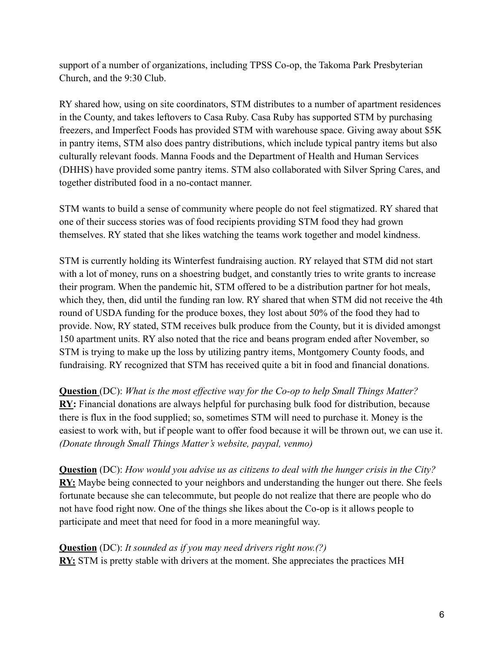support of a number of organizations, including TPSS Co-op, the Takoma Park Presbyterian Church, and the 9:30 Club.

RY shared how, using on site coordinators, STM distributes to a number of apartment residences in the County, and takes leftovers to Casa Ruby. Casa Ruby has supported STM by purchasing freezers, and Imperfect Foods has provided STM with warehouse space. Giving away about \$5K in pantry items, STM also does pantry distributions, which include typical pantry items but also culturally relevant foods. Manna Foods and the Department of Health and Human Services (DHHS) have provided some pantry items. STM also collaborated with Silver Spring Cares, and together distributed food in a no-contact manner.

STM wants to build a sense of community where people do not feel stigmatized. RY shared that one of their success stories was of food recipients providing STM food they had grown themselves. RY stated that she likes watching the teams work together and model kindness.

STM is currently holding its Winterfest fundraising auction. RY relayed that STM did not start with a lot of money, runs on a shoestring budget, and constantly tries to write grants to increase their program. When the pandemic hit, STM offered to be a distribution partner for hot meals, which they, then, did until the funding ran low. RY shared that when STM did not receive the 4th round of USDA funding for the produce boxes, they lost about 50% of the food they had to provide. Now, RY stated, STM receives bulk produce from the County, but it is divided amongst 150 apartment units. RY also noted that the rice and beans program ended after November, so STM is trying to make up the loss by utilizing pantry items, Montgomery County foods, and fundraising. RY recognized that STM has received quite a bit in food and financial donations.

**Question** (DC): *What is the most effective way for the Co-op to help Small Things Matter?* **RY:** Financial donations are always helpful for purchasing bulk food for distribution, because there is flux in the food supplied; so, sometimes STM will need to purchase it. Money is the easiest to work with, but if people want to offer food because it will be thrown out, we can use it. *(Donate through Small Things Matter's website, paypal, venmo)*

**Question** (DC): *How would you advise us as citizens to deal with the hunger crisis in the City?* **RY:** Maybe being connected to your neighbors and understanding the hunger out there. She feels fortunate because she can telecommute, but people do not realize that there are people who do not have food right now. One of the things she likes about the Co-op is it allows people to participate and meet that need for food in a more meaningful way.

**Question** (DC): *It sounded as if you may need drivers right now.(?)* **RY:** STM is pretty stable with drivers at the moment. She appreciates the practices MH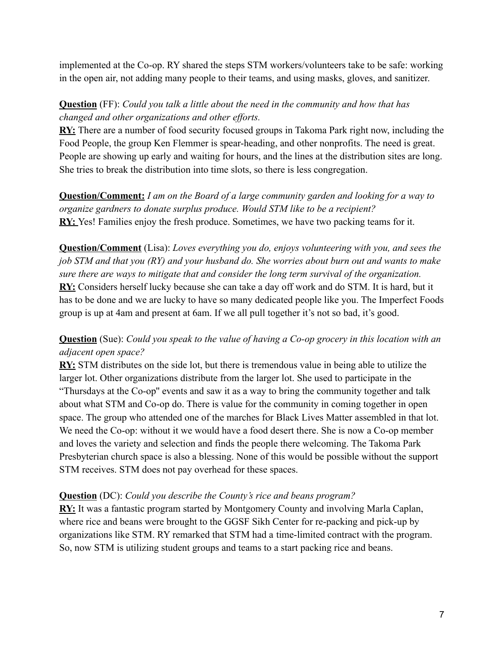implemented at the Co-op. RY shared the steps STM workers/volunteers take to be safe: working in the open air, not adding many people to their teams, and using masks, gloves, and sanitizer.

## **Question** (FF): *Could you talk a little about the need in the community and how that has changed and other organizations and other efforts.*

**RY:** There are a number of food security focused groups in Takoma Park right now, including the Food People, the group Ken Flemmer is spear-heading, and other nonprofits. The need is great. People are showing up early and waiting for hours, and the lines at the distribution sites are long. She tries to break the distribution into time slots, so there is less congregation.

**Question/Comment:** *I am on the Board of a large community garden and looking for a way to organize gardners to donate surplus produce. Would STM like to be a recipient?* **RY:** Yes! Families enjoy the fresh produce. Sometimes, we have two packing teams for it.

**Question/Comment** (Lisa): *Loves everything you do, enjoys volunteering with you, and sees the job STM and that you (RY) and your husband do. She worries about burn out and wants to make sure there are ways to mitigate that and consider the long term survival of the organization.* **RY:** Considers herself lucky because she can take a day off work and do STM. It is hard, but it has to be done and we are lucky to have so many dedicated people like you. The Imperfect Foods group is up at 4am and present at 6am. If we all pull together it's not so bad, it's good.

## **Question** (Sue): *Could you speak to the value of having a Co-op grocery in this location with an adjacent open space?*

**RY:** STM distributes on the side lot, but there is tremendous value in being able to utilize the larger lot. Other organizations distribute from the larger lot. She used to participate in the "Thursdays at the Co-op'' events and saw it as a way to bring the community together and talk about what STM and Co-op do. There is value for the community in coming together in open space. The group who attended one of the marches for Black Lives Matter assembled in that lot. We need the Co-op: without it we would have a food desert there. She is now a Co-op member and loves the variety and selection and finds the people there welcoming. The Takoma Park Presbyterian church space is also a blessing. None of this would be possible without the support STM receives. STM does not pay overhead for these spaces.

## **Question** (DC): *Could you describe the County's rice and beans program?*

**RY:** It was a fantastic program started by Montgomery County and involving Marla Caplan, where rice and beans were brought to the GGSF Sikh Center for re-packing and pick-up by organizations like STM. RY remarked that STM had a time-limited contract with the program. So, now STM is utilizing student groups and teams to a start packing rice and beans.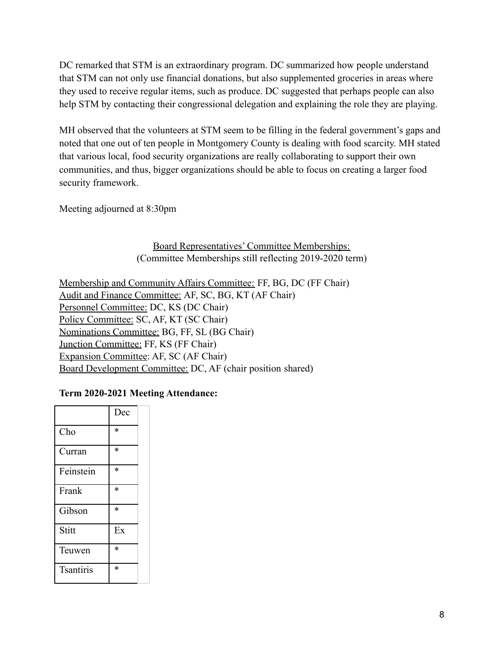DC remarked that STM is an extraordinary program. DC summarized how people understand that STM can not only use financial donations, but also supplemented groceries in areas where they used to receive regular items, such as produce. DC suggested that perhaps people can also help STM by contacting their congressional delegation and explaining the role they are playing.

MH observed that the volunteers at STM seem to be filling in the federal government's gaps and noted that one out of ten people in Montgomery County is dealing with food scarcity. MH stated that various local, food security organizations are really collaborating to support their own communities, and thus, bigger organizations should be able to focus on creating a larger food security framework.

Meeting adjourned at 8:30pm

#### Board Representatives' Committee Memberships: (Committee Memberships still reflecting 2019-2020 term)

Membership and Community Affairs Committee: FF, BG, DC (FF Chair) Audit and Finance Committee: AF, SC, BG, KT (AF Chair) Personnel Committee: DC, KS (DC Chair) Policy Committee: SC, AF, KT (SC Chair) Nominations Committee: BG, FF, SL (BG Chair) Junction Committee: FF, KS (FF Chair) Expansion Committee: AF, SC (AF Chair) Board Development Committee: DC, AF (chair position shared)

#### **Term 2020-2021 Meeting Attendance:**

|                  | Dec |  |
|------------------|-----|--|
| Cho              | *   |  |
| Curran           | *   |  |
| Feinstein        | *   |  |
| Frank            | *   |  |
| Gibson           | *   |  |
| Stitt            | Ex  |  |
| Teuwen           | *   |  |
| <b>Tsantiris</b> | *   |  |